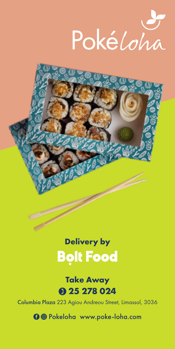



## **25 278 024 Take Away**

Columbia Plaza 223 Agiou Andreou Street, Limassol, 3036

**O** @ Pokeloha www.poke-loha.com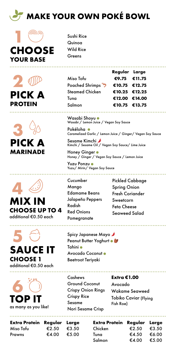











**CHOOSE 1** additional €0.50 each



Sushi Rice Quinoa Wild Rice Greens

|                              | Regular Large |  |
|------------------------------|---------------|--|
| Miso Tofu                    | €9.75 €11.75  |  |
| Poached Shrimps $\mathbb{D}$ | €10.75 €12.75 |  |
| Steamed Chicken              | €10.25 €12.25 |  |
| Tuna                         | €12.00 €14.00 |  |
| Salmon                       | €10.75 €13.75 |  |
|                              |               |  |

Wasabi Shoyu . Wasabi / Lemon Juice / Vegan Soy Sauce

Pokéloha Caramelized Garlic / Lemon Juice / Ginger/ Vegan Soy Sauce

Sesame Kimchi Kimchi / Sesame Oil / Vegan Soy Sauce/ Lime Juice

Honey Ginger  $\bullet$ Honey / Ginger / Vegan Soy Sauce / Lemon Juice

Yuzu Ponzu Yuzu/ Mirin/ Vegan Soy Sauce

- Cucumber Mango Edamame Beans Jalapeño Peppers Radish Red Onions Pomegranate
- Pickled Cabbage Spring Onion Fresh Coriander Sweetcorn Feta Cheese Seaweed Salad

Spicy Japanese Mayo Peanut Butter Yoghurt . U Tahini Avocado Coconut Beetroot Teriyaki

Cashews Ground Coconut Crispy Onion Rings Crispy Rice Sesame Nori Sesame Crisp

**Extra €1.00** 

Avocado Wakame Seaweed Tobiko Caviar (Flying Fish Roe)

**Extra Protein Regular Large** Miso Tofu  $\epsilon$ 2.50  $\epsilon$ 3.50 Prawns €4.00 €5.00

**Extra Protein Regular Large** Chicken €2.50 €3.50 Tuna €4.50 €6.00 Salmon €4.00 €5.00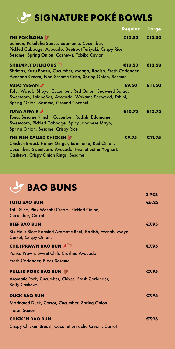

|                                                                                                                                                                                              | Regular | Large  |
|----------------------------------------------------------------------------------------------------------------------------------------------------------------------------------------------|---------|--------|
| <b>THE POKÉLOHA OF</b><br>Salmon, Pokéloha Sauce, Edamame, Cucumber,<br>Pickled Cabbage, Avocado, Beetroot Teriyaki, Crispy Rice,<br>Sesame, Spring Onion, Cashews, Tobiko Caviar            | €10.50  | €13.50 |
| <b>SHRIMPLY DELICIOUS</b><br>Shrimps, Yuzu Ponzu, Cucumber, Mango, Radish, Fresh Coriander,<br>Avocado Cream, Nori Sesame Crisp, Spring Onion, Sesame                                        | €10.50  | €12.50 |
| <b>MISO VEGAN</b><br>Tofu, Wasabi Shoyu, Cucumber, Red Onion, Seaweed Salad,<br>Sweetcorn, Jalapeños, Avocado, Wakame Seaweed, Tahini,<br>Spring Onion, Sesame, Ground Coconut               | €9.50   | €11.50 |
| <b>TUNA AFFAIR</b><br>Tuna, Sesame Kimchi, Cucumber, Radish, Edamame,<br>Sweetcorn, Pickled Cabbage, Spicy Japanese Mayo,<br><b>Spring Onion, Sesame, Crispy Rice</b>                        | €10.75  | €13.75 |
| <b>THE FISH CALLED CHICKEN IF</b><br>Chicken Breast, Honey Ginger, Edamame, Red Onion,<br>Cucumber, Sweetcorn, Avocado, Peanut Butter Yoghurt,<br><b>Cashews, Crispy Onion Rings, Sesame</b> | €9.75   | €11.75 |

## **BAO BUNS**

|                                                                                           | 2 PCS |
|-------------------------------------------------------------------------------------------|-------|
| <b>TOFU BAO BUN</b>                                                                       | €6.25 |
| Tofu Slice, Pink Wasabi Cream, Pickled Onion,<br><b>Cucumber, Carrot</b>                  |       |
| <b>BEEF BAO BUN</b>                                                                       | €7.95 |
| Six Hour Slow Roasted Aromatic Beef, Radish, Wasabi Mayo,<br><b>Carrot, Crispy Onions</b> |       |
| <b>CHILI PRAWN BAO BUN J</b>                                                              | €7.95 |
| Panko Prawn, Sweet Chili, Crushed Avocado,                                                |       |
| Fresh Coriander, Black Sesame                                                             |       |
| <b>PULLED PORK BAO BUN</b>                                                                | €7.95 |
| Aromatic Pork, Cucumber, Chives, Fresh Coriander,<br><b>Salty Cashews</b>                 |       |
| <b>DUCK BAO BUN</b>                                                                       | €7.95 |
| Marinated Duck, Carrot, Cucumber, Spring Onion                                            |       |
| <b>Hoisin Sauce</b>                                                                       |       |
| <b>CHICKEN BAO BUN</b>                                                                    | €7.95 |
| Crispy Chicken Breast, Coconut Sriracha Cream, Carrot                                     |       |
|                                                                                           |       |